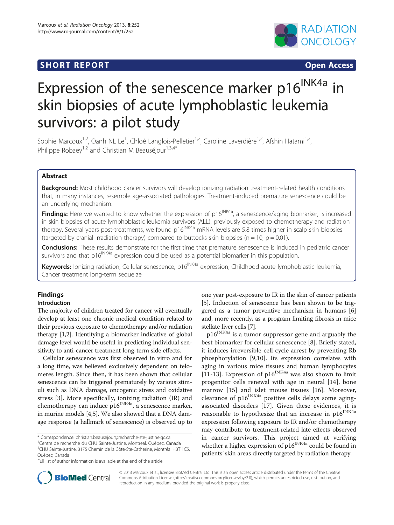# **SHORT REPORT SHORT CONSIDERING ACCESS**



# Expression of the senescence marker p16<sup>INK4a</sup> in skin biopsies of acute lymphoblastic leukemia survivors: a pilot study

Sophie Marcoux<sup>1,2</sup>, Oanh NL Le<sup>1</sup>, Chloé Langlois-Pelletier<sup>1,2</sup>, Caroline Laverdière<sup>1,2</sup>, Afshin Hatami<sup>1,2</sup>, Philippe Robaey<sup>1,2</sup> and Christian M Beauséjour<sup>1,3,4\*</sup>

# Abstract

**Background:** Most childhood cancer survivors will develop ionizing radiation treatment-related health conditions that, in many instances, resemble age-associated pathologies. Treatment-induced premature senescence could be an underlying mechanism.

Findings: Here we wanted to know whether the expression of p16<sup>INK4a</sup>, a senescence/aging biomarker, is increased in skin biopsies of acute lymphoblastic leukemia survivors (ALL), previously exposed to chemotherapy and radiation therapy. Several years post-treatments, we found p16<sup>INK4a</sup> mRNA levels are 5.8 times higher in scalp skin biopsies (targeted by cranial irradiation therapy) compared to buttocks skin biopsies ( $n = 10$ ,  $p = 0.01$ ).

**Conclusions:** These results demonstrate for the first time that premature senescence is induced in pediatric cancer survivors and that p16<sup>INK4a</sup> expression could be used as a potential biomarker in this population.

Keywords: Ionizing radiation, Cellular senescence, p16<sup>INK4a</sup> expression, Childhood acute lymphoblastic leukemia, Cancer treatment long-term sequelae

# Findings

# Introduction

The majority of children treated for cancer will eventually develop at least one chronic medical condition related to their previous exposure to chemotherapy and/or radiation therapy [\[1,2](#page-3-0)]. Identifying a biomarker indicative of global damage level would be useful in predicting individual sensitivity to anti-cancer treatment long-term side effects.

Cellular senescence was first observed in vitro and for a long time, was believed exclusively dependent on telomeres length. Since then, it has been shown that cellular senescence can be triggered prematurely by various stimuli such as DNA damage, oncogenic stress and oxidative stress [[3\]](#page-3-0). More specifically, ionizing radiation (IR) and chemotherapy can induce  $p16^{INK4a}$ , a senescence marker, in murine models [\[4,5\]](#page-3-0). We also showed that a DNA damage response (a hallmark of senescence) is observed up to

\* Correspondence: [christian.beausejour@recherche-ste-justine.qc.ca](mailto:christian.beausejour@recherche-ste-justine.qc.ca) <sup>1</sup>

Full list of author information is available at the end of the article

one year post-exposure to IR in the skin of cancer patients [[5\]](#page-3-0). Induction of senescence has been shown to be triggered as a tumor preventive mechanism in humans [[6](#page-3-0)] and, more recently, as a program limiting fibrosis in mice stellate liver cells [\[7\]](#page-3-0).

p16INK4a is a tumor suppressor gene and arguably the best biomarker for cellular senescence [[8](#page-3-0)]. Briefly stated, it induces irreversible cell cycle arrest by preventing Rb phosphorylation [[9,10](#page-3-0)]. Its expression correlates with aging in various mice tissues and human lymphocytes [[11-13\]](#page-3-0). Expression of  $p16^{INK4a}$  was also shown to limit progenitor cells renewal with age in neural [[14\]](#page-3-0), bone marrow [[15\]](#page-3-0) and islet mouse tissues [[16\]](#page-3-0). Moreover, clearance of  $p16^{INK4a}$  positive cells delays some agingassociated disorders [[17](#page-3-0)]. Given these evidences, it is reasonable to hypothesize that an increase in  $p16^{INK4a}$ expression following exposure to IR and/or chemotherapy may contribute to treatment-related late effects observed in cancer survivors. This project aimed at verifying whether a higher expression of  $p16^{INK4a}$  could be found in patients' skin areas directly targeted by radiation therapy.



© 2013 Marcoux et al.; licensee BioMed Central Ltd. This is an open access article distributed under the terms of the Creative Commons Attribution License [\(http://creativecommons.org/licenses/by/2.0\)](http://creativecommons.org/licenses/by/2.0), which permits unrestricted use, distribution, and reproduction in any medium, provided the original work is properly cited.

<sup>&</sup>lt;sup>1</sup> Centre de recherche du CHU Sainte-Justine, Montréal, Québec, Canada 4 CHU Sainte-Justine, 3175 Chemin de la Côte-Ste-Catherine, Montréal H3T 1C5,

Québec, Canada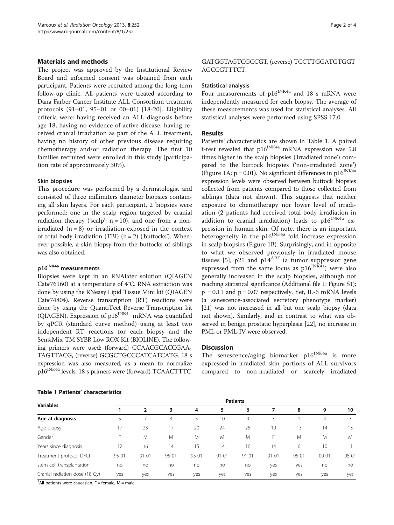# Materials and methods

The project was approved by the Institutional Review Board and informed consent was obtained from each participant. Patients were recruited among the long-term follow-up clinic. All patients were treated according to Dana Farber Cancer Institute ALL Consortium treatment protocols (91–01, 95–01 or 00–01) [[18-20](#page-3-0)]. Eligibility criteria were: having received an ALL diagnosis before age 18, having no evidence of active disease, having received cranial irradiation as part of the ALL treatment, having no history of other previous disease requiring chemotherapy and/or radiation therapy. The first 10 families recruited were enrolled in this study (participation rate of approximately 30%).

# Skin biopsies

This procedure was performed by a dermatologist and consisted of three millimiters diameter biopsies containing all skin layers. For each participant, 2 biopsies were performed: one in the scalp region targeted by cranial radiation therapy ('scalp';  $n = 10$ ), and one from a nonirradiated  $(n = 8)$  or irradiation-exposed in the context of total body irradiation (TBI)  $(n = 2)$  ('buttocks'). Whenever possible, a skin biopsy from the buttocks of siblings was also obtained.

# p16<sup>INK4a</sup> measurements

Biopsies were kept in an RNAlater solution (QIAGEN Cat#76160) at a temperature of 4°C. RNA extraction was done by using the RNeasy Lipid Tissue Mini kit (QIAGEN Cat#74804). Reverse transcription (RT) reactions were done by using the QuantiTect Reverse Transcription kit (QIAGEN). Expression of  $p16^{INK4a}$  mRNA was quantified by qPCR (standard curve method) using at least two independent RT reactions for each biopsy and the SensiMix TM SYBR Low ROX Kit (BIOLINE). The following primers were used: (forward) CCAACGCACCGAA-TAGTTACG, (reverse) GCGCTGCCCATCATCATG. 18 s expression was also measured, as a mean to normalize p16<sup>INK4a</sup> levels. 18 s primers were (forward) TCAACTTTC

GATGGTAGTCGCCGT, (reverse) TCCTTGGATGTGGT AGCCGTTTCT.

### Statistical analysis

Four measurements of  $p16^{INK4a}$  and 18 s mRNA were independently measured for each biopsy. The average of these measurements was used for statistical analyses. All statistical analyses were performed using SPSS 17.0.

# Results

Patients' characteristics are shown in Table 1. A paired t-test revealed that  $p16^{INK4a}$  mRNA expression was 5.8 times higher in the scalp biopsies ('irradiated zone') compared to the buttock biopsies ('non-irradiated zone') (Figure [1A](#page-2-0);  $p = 0.01$ ). No significant differences in  $p16^{INK4a}$ expression levels were observed between buttock biopsies collected from patients compared to those collected from siblings (data not shown). This suggests that neither exposure to chemotherapy nor lower level of irradiation (2 patients had received total body irradiation in addition to cranial irradiation) leads to  $p16^{\text{INK4a}}$  expression in human skin. Of note, there is an important heterogeneity in the  $p16^{1NKA}$  fold increase expression in scalp biopsies (Figure [1](#page-2-0)B). Surprisingly, and in opposite to what we observed previously in irradiated mouse tissues [[5\]](#page-3-0), p21 and p14<sup>ARF</sup> (a tumor suppressor gene expressed from the same locus as  $p16^{INKA}$  were also generally increased in the scalp biopsies, although not reaching statistical significance (Additional file [1:](#page-3-0) Figure S1);  $p = 0.11$  and  $p = 0.07$  respectively. Yet, IL-6 mRNA levels (a senescence-associated secretory phenotype marker) [[21](#page-3-0)] was not increased in all but one scalp biopsy (data not shown). Similarly, and in contrast to what was observed in benign prostatic hyperplasia [[22](#page-3-0)], no increase in PML or PML-IV were observed.

# Discussion

The senescence/aging biomarker  $p16^{INK4a}$  is more expressed in irradiated skin portions of ALL survivors compared to non-irradiated or scarcely irradiated

# Variables Patients 1 2 3 4 5 6 7 8 9 10 **Age at diagnosis** 5 7 3 5 10 9 3 1 4 3 Age biopsy 17 23 17 20 24 25 19 13 14 13 Gender1 F MMMMM F MMM Years since diagnosis 12 16 14 15 14 16 14 6 10 11 Treatment protocol DFCI 95-01 91-01 95-01 95-01 91-01 91-01 91-01 95-01 00-01 95-01 stem cell transplantation ho no no no no no no yes yes no no Cranial radiation dose (18 Gy) yes yes yes yes yes yes yes yes yes yes

<sup>1</sup> All patients were caucasian.  $F =$  female,  $M =$  male.

# Table 1 Patients' characteristics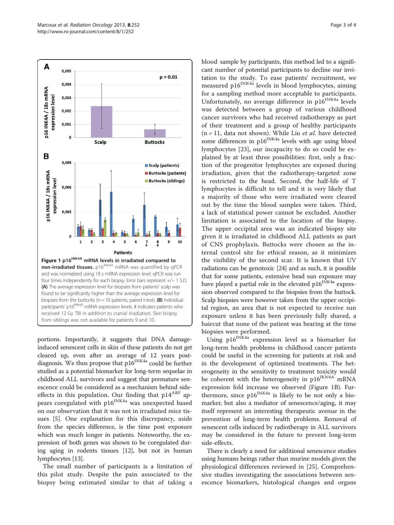<span id="page-2-0"></span>

portions. Importantly, it suggests that DNA damageinduced senescent cells in skin of these patients do not get cleared up, even after an average of 12 years postdiagnosis. We thus propose that p16<sup>INK4a</sup> could be further studied as a potential biomarker for long-term sequelae in childhood ALL survivors and suggest that premature senescence could be considered as a mechanism behind sideeffects in this population. Our finding that  $p14^{ARF}$  appears coregulated with p16INK4a was unexpected based on our observation that it was not in irradiated mice tissues [[5\]](#page-3-0). One explanation for this discrepancy, aside from the species difference, is the time post exposure which was much longer in patients. Noteworthy, the expression of both genes was shown to be coregulated during aging in rodents tissues [\[12](#page-3-0)], but not in human lymphocytes [\[13](#page-3-0)].

The small number of participants is a limitation of this pilot study. Despite the pain associated to the biopsy being estimated similar to that of taking a blood sample by participants, this method led to a significant number of potential participants to decline our invitation to the study. To ease patients' recruitment, we measured p16<sup>INK4a</sup> levels in blood lymphocytes, aiming for a sampling method more acceptable to participants. Unfortunately, no average difference in  $p16^{INK4a}$  levels was detected between a group of various childhood cancer survivors who had received radiotherapy as part of their treatment and a group of healthy participants  $(n = 11,$  data not shown). While Liu *et al.* have detected some differences in  $p16^{INK4a}$  levels with age using blood lymphocytes [[23\]](#page-3-0), our incapacity to do so could be explained by at least three possibilities: first, only a fraction of the progenitor lymphocytes are exposed during irradiation, given that the radiotherapy-targeted zone is restricted to the head. Second, the half-life of T lymphocytes is difficult to tell and it is very likely that a majority of those who were irradiated were cleared out by the time the blood samples were taken. Third, a lack of statistical power cannot be excluded. Another limitation is associated to the location of the biopsy. The upper occipital area was an indicated biopsy site given it is irradiated in childhood ALL patients as part of CNS prophylaxis. Buttocks were chosen as the internal control site for ethical reason, as it minimizes the visibility of the second scar. It is known that UV radiations can be genotoxic [\[24\]](#page-3-0) and as such, it is possible that for some patients, extensive head sun exposure may have played a partial role in the elevated  $p16^{INK4a}$  expression observed compared to the biopsies from the buttock. Scalp biopsies were however taken from the upper occipital region, an area that is not expected to receive sun exposure unless it has been previously fully shaved, a haircut that none of the patient was bearing at the time biopsies were performed.

Using  $p16$ <sup>INK4a</sup> expression level as a biomarker for long-term health problems in childhood cancer patients could be useful in the screening for patients at risk and in the development of optimized treatments. The heterogeneity in the sensitivity to treatment toxicity would be coherent with the heterogeneity in p16<sup>IKN4A</sup> mRNA expression fold increase we observed (Figure 1B). Furthermore, since  $p16^{INKAa}$  is likely to be not only a biomarker, but also a mediator of senescence/aging, it may itself represent an interesting therapeutic avenue in the prevention of long-term health problems. Removal of senescent cells induced by radiotherapy in ALL survivors may be considered in the future to prevent long-term side-effects.

There is clearly a need for additional senescence studies using humans beings rather than murine models given the physiological differences reviewed in [[25\]](#page-3-0). Comprehensive studies investigating the associations between senescence biomarkers, histological changes and organs